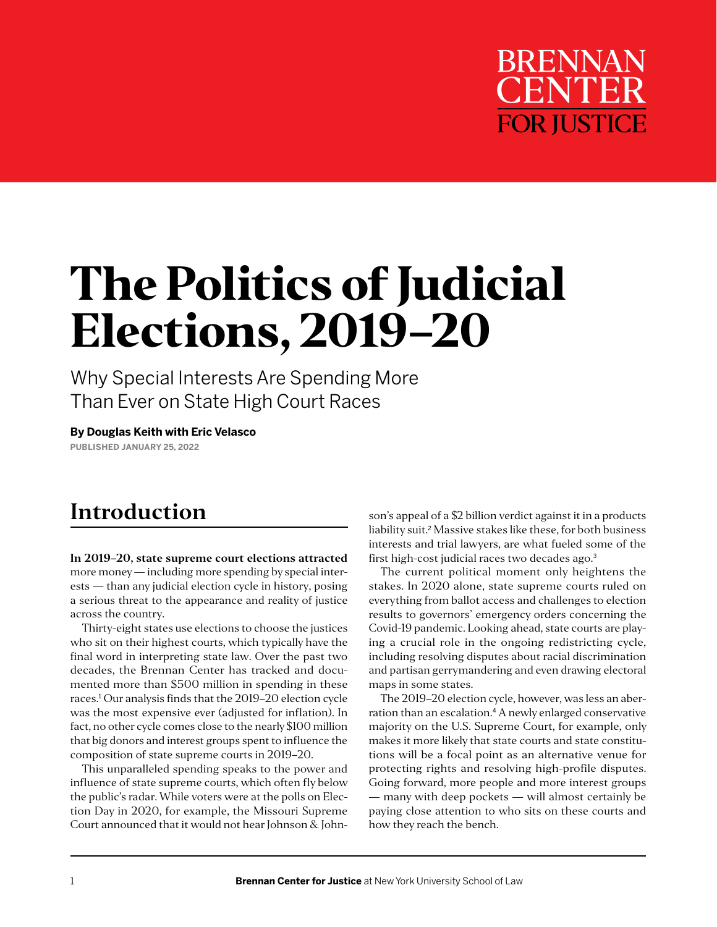

# **The Politics of Judicial Elections, 2019–20**

Why Special Interests Are Spending More Than Ever on State High Court Races

**By Douglas Keith with Eric Velasco PUBLISHED JANUARY 25, 2022**

### **Introduction**

**In 2019–20, state supreme court elections attracted**  more money — including more spending by special interests — than any judicial election cycle in history, posing a serious threat to the appearance and reality of justice across the country.

Thirty-eight states use elections to choose the justices who sit on their highest courts, which typically have the final word in interpreting state law. Over the past two decades, the Brennan Center has tracked and documented more than \$500 million in spending in these races.<sup>1</sup> Our analysis finds that the 2019–20 election cycle was the most expensive ever (adjusted for inflation). In fact, no other cycle comes close to the nearly \$100 million that big donors and interest groups spent to influence the composition of state supreme courts in 2019–20.

This unparalleled spending speaks to the power and influence of state supreme courts, which often fly below the public's radar. While voters were at the polls on Election Day in 2020, for example, the Missouri Supreme Court announced that it would not hear Johnson & Johnson's appeal of a \$2 billion verdict against it in a products liability suit.2 Massive stakes like these, for both business interests and trial lawyers, are what fueled some of the first high-cost judicial races two decades ago.<sup>3</sup>

The current political moment only heightens the stakes. In 2020 alone, state supreme courts ruled on everything from ballot access and challenges to election results to governors' emergency orders concerning the Covid-19 pandemic. Looking ahead, state courts are playing a crucial role in the ongoing redistricting cycle, including resolving disputes about racial discrimination and partisan gerrymandering and even drawing electoral maps in some states.

The 2019–20 election cycle, however, was less an aberration than an escalation.4 A newly enlarged conservative majority on the U.S. Supreme Court, for example, only makes it more likely that state courts and state constitutions will be a focal point as an alternative venue for protecting rights and resolving high-profile disputes. Going forward, more people and more interest groups — many with deep pockets — will almost certainly be paying close attention to who sits on these courts and how they reach the bench.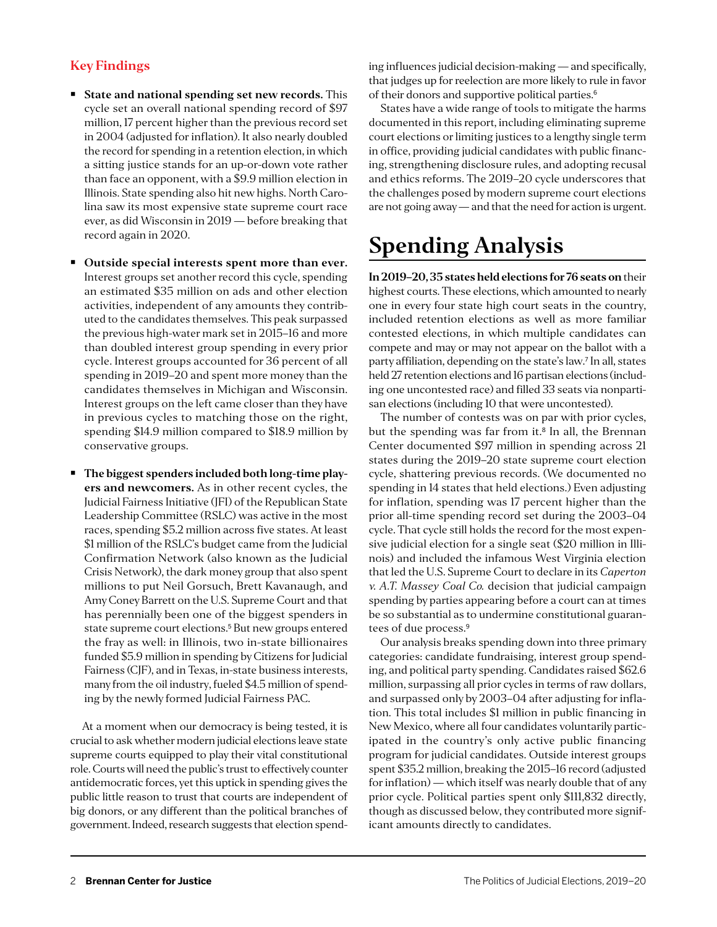#### **Key Findings**

- **State and national spending set new records.** This cycle set an overall national spending record of \$97 million, 17 percent higher than the previous record set in 2004 (adjusted for inflation). It also nearly doubled the record for spending in a retention election, in which a sitting justice stands for an up-or-down vote rather than face an opponent, with a \$9.9 million election in Illinois. State spending also hit new highs. North Carolina saw its most expensive state supreme court race ever, as did Wisconsin in 2019 — before breaking that record again in 2020.
- **Outside special interests spent more than ever.**  Interest groups set another record this cycle, spending an estimated \$35 million on ads and other election activities, independent of any amounts they contributed to the candidates themselves. This peak surpassed the previous high-water mark set in 2015–16 and more than doubled interest group spending in every prior cycle. Interest groups accounted for 36 percent of all spending in 2019–20 and spent more money than the candidates themselves in Michigan and Wisconsin. Interest groups on the left came closer than they have in previous cycles to matching those on the right, spending \$14.9 million compared to \$18.9 million by conservative groups.
- **The biggest spenders included both long-time players and newcomers.** As in other recent cycles, the Judicial Fairness Initiative (JFI) of the Republican State Leadership Committee (RSLC) was active in the most races, spending \$5.2 million across five states. At least \$1 million of the RSLC's budget came from the Judicial Confirmation Network (also known as the Judicial Crisis Network), the dark money group that also spent millions to put Neil Gorsuch, Brett Kavanaugh, and Amy Coney Barrett on the U.S. Supreme Court and that has perennially been one of the biggest spenders in state supreme court elections.<sup>5</sup> But new groups entered the fray as well: in Illinois, two in-state billionaires funded \$5.9 million in spending by Citizens for Judicial Fairness (CJF), and in Texas, in-state business interests, many from the oil industry, fueled \$4.5 million of spending by the newly formed Judicial Fairness PAC.

At a moment when our democracy is being tested, it is crucial to ask whether modern judicial elections leave state supreme courts equipped to play their vital constitutional role. Courts will need the public's trust to effectively counter antidemocratic forces, yet this uptick in spending gives the public little reason to trust that courts are independent of big donors, or any different than the political branches of government. Indeed, research suggests that election spending influences judicial decision-making — and specifically, that judges up for reelection are more likely to rule in favor of their donors and supportive political parties.<sup>6</sup>

States have a wide range of tools to mitigate the harms documented in this report, including eliminating supreme court elections or limiting justices to a lengthy single term in office, providing judicial candidates with public financing, strengthening disclosure rules, and adopting recusal and ethics reforms. The 2019–20 cycle underscores that the challenges posed by modern supreme court elections are not going away — and that the need for action is urgent.

## **Spending Analysis**

**In 2019–20, 35 states held elections for 76 seats on** their highest courts. These elections, which amounted to nearly one in every four state high court seats in the country, included retention elections as well as more familiar contested elections, in which multiple candidates can compete and may or may not appear on the ballot with a party affiliation, depending on the state's law.<sup>7</sup> In all, states held 27 retention elections and 16 partisan elections (including one uncontested race) and filled 33 seats via nonpartisan elections (including 10 that were uncontested).

The number of contests was on par with prior cycles, but the spending was far from it.<sup>8</sup> In all, the Brennan Center documented \$97 million in spending across 21 states during the 2019–20 state supreme court election cycle, shattering previous records. (We documented no spending in 14 states that held elections.) Even adjusting for inflation, spending was 17 percent higher than the prior all-time spending record set during the 2003–04 cycle. That cycle still holds the record for the most expensive judicial election for a single seat (\$20 million in Illinois) and included the infamous West Virginia election that led the U.S. Supreme Court to declare in its *Caperton v. A.T. Massey Coal Co.* decision that judicial campaign spending by parties appearing before a court can at times be so substantial as to undermine constitutional guarantees of due process.<sup>9</sup>

Our analysis breaks spending down into three primary categories: candidate fundraising, interest group spending, and political party spending. Candidates raised \$62.6 million, surpassing all prior cycles in terms of raw dollars, and surpassed only by 2003–04 after adjusting for inflation. This total includes \$1 million in public financing in New Mexico, where all four candidates voluntarily participated in the country's only active public financing program for judicial candidates. Outside interest groups spent \$35.2 million, breaking the 2015–16 record (adjusted for inflation) — which itself was nearly double that of any prior cycle. Political parties spent only \$111,832 directly, though as discussed below, they contributed more significant amounts directly to candidates.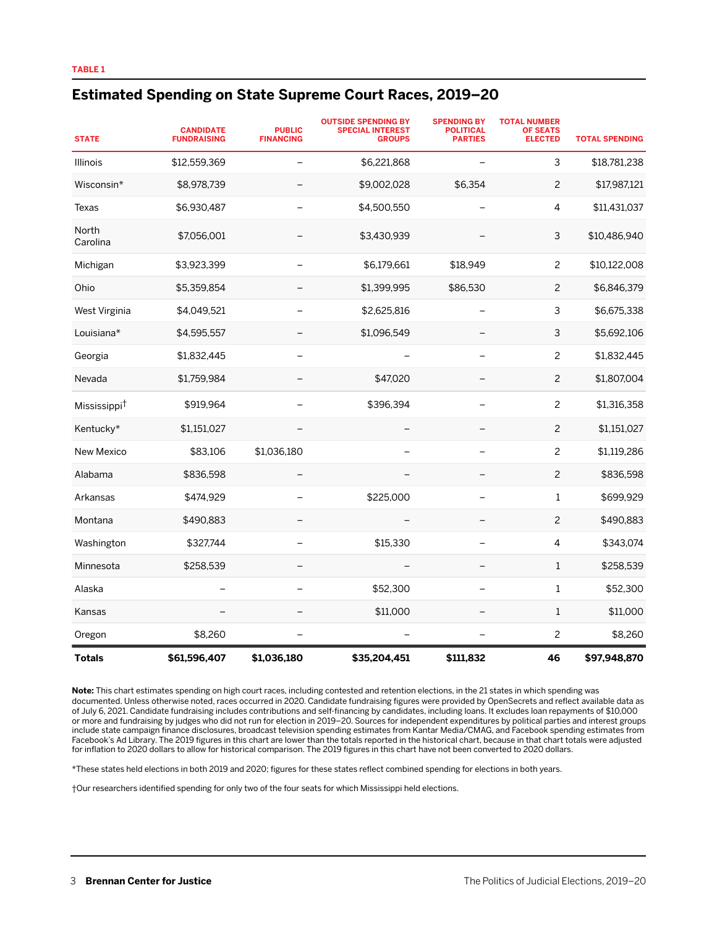#### **Estimated Spending on State Supreme Court Races, 2019–20**

| <b>STATE</b>             | <b>CANDIDATE</b><br><b>FUNDRAISING</b> | <b>PUBLIC</b><br><b>FINANCING</b> | <b>OUTSIDE SPENDING BY</b><br><b>SPECIAL INTEREST</b><br><b>GROUPS</b> | <b>SPENDING BY</b><br><b>POLITICAL</b><br><b>PARTIES</b> | <b>TOTAL NUMBER</b><br><b>OF SEATS</b><br><b>ELECTED</b> | <b>TOTAL SPENDING</b> |
|--------------------------|----------------------------------------|-----------------------------------|------------------------------------------------------------------------|----------------------------------------------------------|----------------------------------------------------------|-----------------------|
| Illinois                 | \$12,559,369                           |                                   | \$6,221,868                                                            | ÷                                                        | 3                                                        | \$18,781,238          |
| Wisconsin*               | \$8,978,739                            |                                   | \$9,002,028                                                            | \$6,354                                                  | 2                                                        | \$17,987,121          |
| Texas                    | \$6,930,487                            |                                   | \$4,500,550                                                            |                                                          | 4                                                        | \$11,431,037          |
| North<br>Carolina        | \$7,056,001                            |                                   | \$3,430,939                                                            |                                                          | 3                                                        | \$10,486,940          |
| Michigan                 | \$3,923,399                            | $\qquad \qquad -$                 | \$6,179,661                                                            | \$18,949                                                 | $\overline{c}$                                           | \$10,122,008          |
| Ohio                     | \$5,359,854                            |                                   | \$1,399,995                                                            | \$86,530                                                 | $\overline{c}$                                           | \$6,846,379           |
| West Virginia            | \$4,049,521                            |                                   | \$2,625,816                                                            |                                                          | 3                                                        | \$6,675,338           |
| Louisiana*               | \$4,595,557                            |                                   | \$1,096,549                                                            |                                                          | 3                                                        | \$5,692,106           |
| Georgia                  | \$1,832,445                            |                                   |                                                                        |                                                          | $\overline{c}$                                           | \$1,832,445           |
| Nevada                   | \$1,759,984                            |                                   | \$47,020                                                               |                                                          | $\overline{c}$                                           | \$1,807,004           |
| Mississippi <sup>†</sup> | \$919,964                              |                                   | \$396,394                                                              |                                                          | 2                                                        | \$1,316,358           |
| Kentucky*                | \$1,151,027                            |                                   |                                                                        |                                                          | $\overline{c}$                                           | \$1,151,027           |
| <b>New Mexico</b>        | \$83,106                               | \$1,036,180                       |                                                                        |                                                          | 2                                                        | \$1,119,286           |
| Alabama                  | \$836,598                              |                                   |                                                                        |                                                          | $\overline{c}$                                           | \$836,598             |
| Arkansas                 | \$474,929                              |                                   | \$225,000                                                              | $\overline{\phantom{0}}$                                 | $\mathbf{1}$                                             | \$699,929             |
| Montana                  | \$490,883                              |                                   |                                                                        |                                                          | $\overline{c}$                                           | \$490,883             |
| Washington               | \$327,744                              |                                   | \$15,330                                                               | $\overline{\phantom{0}}$                                 | 4                                                        | \$343,074             |
| Minnesota                | \$258,539                              |                                   |                                                                        |                                                          | $\mathbf{1}$                                             | \$258,539             |
| Alaska                   |                                        | $\overline{\phantom{0}}$          | \$52,300                                                               | $\overline{\phantom{0}}$                                 | $\mathbf{1}$                                             | \$52,300              |
| Kansas                   |                                        |                                   | \$11,000                                                               |                                                          | $\mathbf{1}$                                             | \$11,000              |
| Oregon                   | \$8,260                                |                                   |                                                                        | $\overline{\phantom{0}}$                                 | 2                                                        | \$8,260               |
| <b>Totals</b>            | \$61,596,407                           | \$1,036,180                       | \$35,204,451                                                           | \$111,832                                                | 46                                                       | \$97,948,870          |

**Note:** This chart estimates spending on high court races, including contested and retention elections, in the 21 states in which spending was documented. Unless otherwise noted, races occurred in 2020. Candidate fundraising figures were provided by OpenSecrets and reflect available data as of July 6, 2021. Candidate fundraising includes contributions and self-financing by candidates, including loans. It excludes loan repayments of \$10,000 or more and fundraising by judges who did not run for election in 2019–20. Sources for independent expenditures by political parties and interest groups include state campaign finance disclosures, broadcast television spending estimates from Kantar Media/CMAG, and Facebook spending estimates from Facebook's Ad Library. The 2019 figures in this chart are lower than the totals reported in the historical chart, because in that chart totals were adjusted for inflation to 2020 dollars to allow for historical comparison. The 2019 figures in this chart have not been converted to 2020 dollars.

\*These states held elections in both 2019 and 2020; figures for these states reflect combined spending for elections in both years.

†Our researchers identified spending for only two of the four seats for which Mississippi held elections.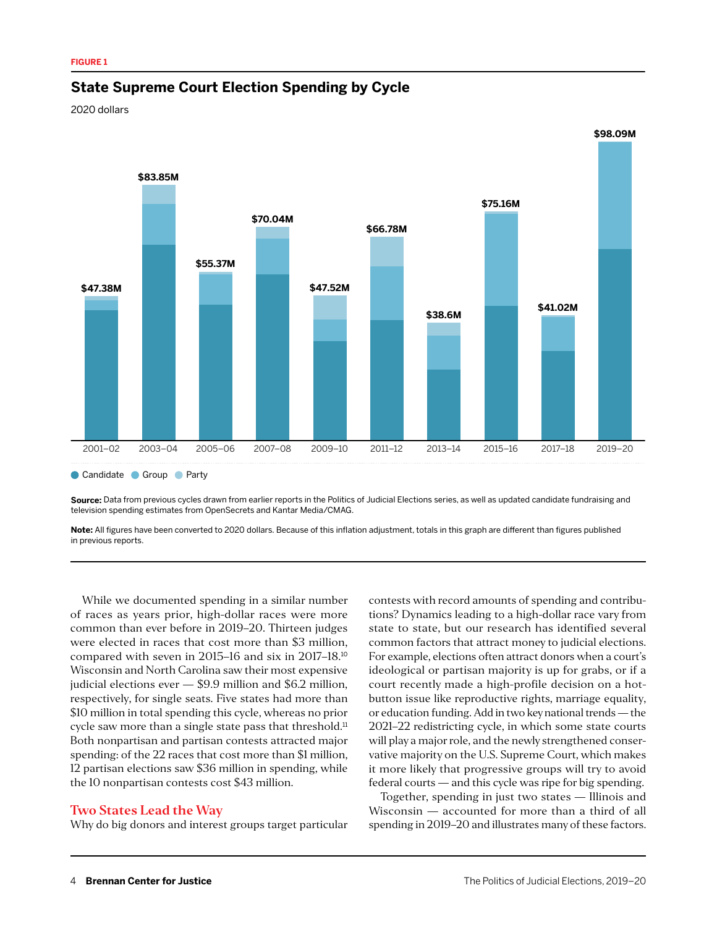#### **State Supreme Court Election Spending by Cycle**

2020 dollars



**Source:** Data from previous cycles drawn from earlier reports in the Politics of Judicial Elections series, as well as updated candidate fundraising and television spending estimates from OpenSecrets and Kantar Media/CMAG.

**Note:** All figures have been converted to 2020 dollars. Because of this inflation adjustment, totals in this graph are different than figures published in previous reports.

While we documented spending in a similar number of races as years prior, high-dollar races were more common than ever before in 2019–20. Thirteen judges were elected in races that cost more than \$3 million, compared with seven in 2015–16 and six in 2017–18.<sup>10</sup> Wisconsin and North Carolina saw their most expensive judicial elections ever — \$9.9 million and \$6.2 million, respectively, for single seats. Five states had more than \$10 million in total spending this cycle, whereas no prior cycle saw more than a single state pass that threshold.<sup>11</sup> Both nonpartisan and partisan contests attracted major spending: of the 22 races that cost more than \$1 million, 12 partisan elections saw \$36 million in spending, while the 10 nonpartisan contests cost \$43 million.

#### **Two States Lead the Way**

Why do big donors and interest groups target particular

contests with record amounts of spending and contributions? Dynamics leading to a high-dollar race vary from state to state, but our research has identified several common factors that attract money to judicial elections. For example, elections often attract donors when a court's ideological or partisan majority is up for grabs, or if a court recently made a high-profile decision on a hotbutton issue like reproductive rights, marriage equality, or education funding. Add in two key national trends — the 2021–22 redistricting cycle, in which some state courts will play a major role, and the newly strengthened conservative majority on the U.S. Supreme Court, which makes it more likely that progressive groups will try to avoid federal courts — and this cycle was ripe for big spending.

Together, spending in just two states — Illinois and Wisconsin — accounted for more than a third of all spending in 2019–20 and illustrates many of these factors.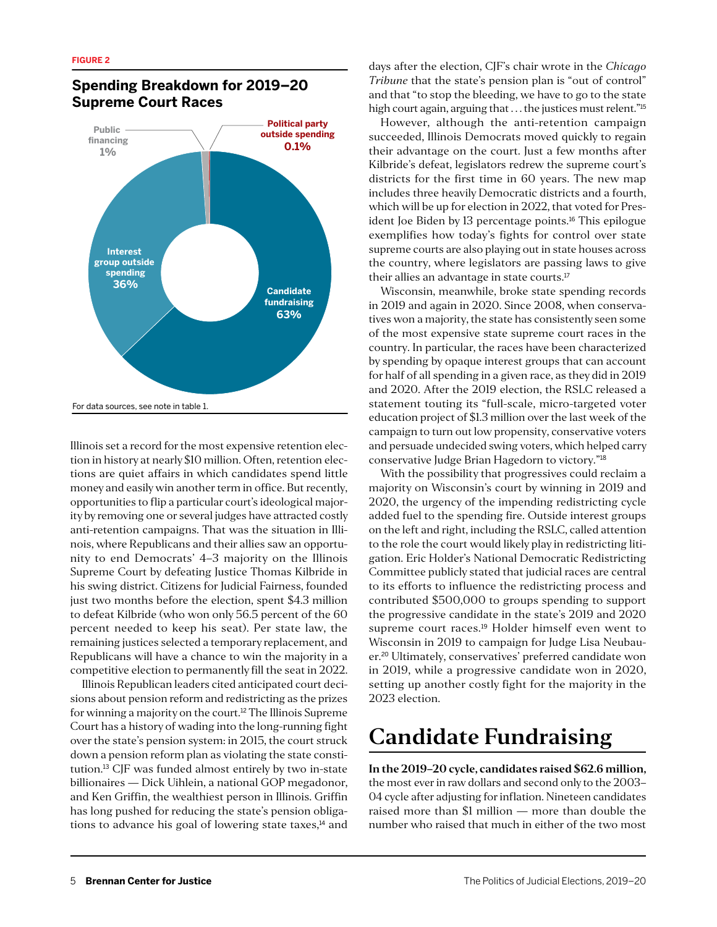

#### **Spending Breakdown for 2019–20 Supreme Court Races**

Illinois set a record for the most expensive retention election in history at nearly \$10 million. Often, retention elections are quiet affairs in which candidates spend little money and easily win another term in office. But recently, opportunities to flip a particular court's ideological majority by removing one or several judges have attracted costly anti-retention campaigns. That was the situation in Illinois, where Republicans and their allies saw an opportunity to end Democrats' 4–3 majority on the Illinois Supreme Court by defeating Justice Thomas Kilbride in his swing district. Citizens for Judicial Fairness, founded just two months before the election, spent \$4.3 million to defeat Kilbride (who won only 56.5 percent of the 60 percent needed to keep his seat). Per state law, the remaining justices selected a temporary replacement, and Republicans will have a chance to win the majority in a competitive election to permanently fill the seat in 2022.

Illinois Republican leaders cited anticipated court decisions about pension reform and redistricting as the prizes for winning a majority on the court.<sup>12</sup> The Illinois Supreme Court has a history of wading into the long-running fight over the state's pension system: in 2015, the court struck down a pension reform plan as violating the state constitution.13 CJF was funded almost entirely by two in-state billionaires — Dick Uihlein, a national GOP megadonor, and Ken Griffin, the wealthiest person in Illinois. Griffin has long pushed for reducing the state's pension obligations to advance his goal of lowering state taxes,<sup>14</sup> and days after the election, CJF's chair wrote in the *Chicago Tribune* that the state's pension plan is "out of control" and that "to stop the bleeding, we have to go to the state high court again, arguing that . . . the justices must relent."<sup>15</sup>

However, although the anti-retention campaign succeeded, Illinois Democrats moved quickly to regain their advantage on the court. Just a few months after Kilbride's defeat, legislators redrew the supreme court's districts for the first time in 60 years. The new map includes three heavily Democratic districts and a fourth, which will be up for election in 2022, that voted for President Joe Biden by 13 percentage points.<sup>16</sup> This epilogue exemplifies how today's fights for control over state supreme courts are also playing out in state houses across the country, where legislators are passing laws to give their allies an advantage in state courts.<sup>17</sup>

Wisconsin, meanwhile, broke state spending records in 2019 and again in 2020. Since 2008, when conservatives won a majority, the state has consistently seen some of the most expensive state supreme court races in the country. In particular, the races have been characterized by spending by opaque interest groups that can account for half of all spending in a given race, as they did in 2019 and 2020. After the 2019 election, the RSLC released a statement touting its "full-scale, micro-targeted voter education project of \$1.3 million over the last week of the campaign to turn out low propensity, conservative voters and persuade undecided swing voters, which helped carry conservative Judge Brian Hagedorn to victory."<sup>18</sup>

With the possibility that progressives could reclaim a majority on Wisconsin's court by winning in 2019 and 2020, the urgency of the impending redistricting cycle added fuel to the spending fire. Outside interest groups on the left and right, including the RSLC, called attention to the role the court would likely play in redistricting litigation. Eric Holder's National Democratic Redistricting Committee publicly stated that judicial races are central to its efforts to influence the redistricting process and contributed \$500,000 to groups spending to support the progressive candidate in the state's 2019 and 2020 supreme court races.<sup>19</sup> Holder himself even went to Wisconsin in 2019 to campaign for Judge Lisa Neubauer.20 Ultimately, conservatives' preferred candidate won in 2019, while a progressive candidate won in 2020, setting up another costly fight for the majority in the 2023 election.

## **Candidate Fundraising**

**In the 2019–20 cycle, candidates raised \$62.6 million,** the most ever in raw dollars and second only to the 2003– 04 cycle after adjusting for inflation. Nineteen candidates raised more than \$1 million — more than double the number who raised that much in either of the two most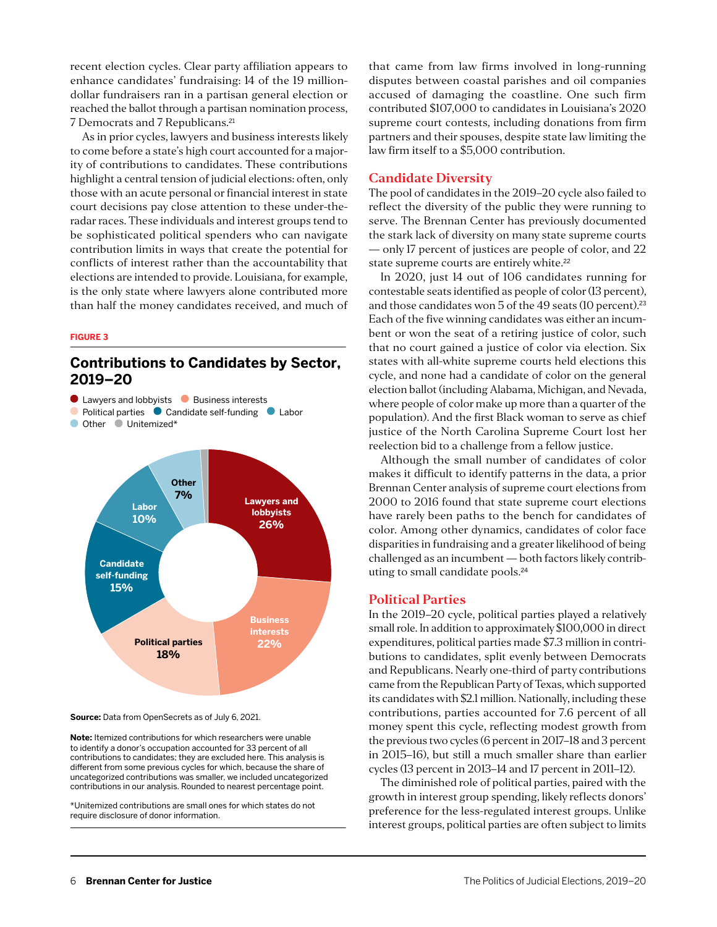recent election cycles. Clear party affiliation appears to enhance candidates' fundraising: 14 of the 19 milliondollar fundraisers ran in a partisan general election or reached the ballot through a partisan nomination process, 7 Democrats and 7 Republicans.<sup>21</sup>

As in prior cycles, lawyers and business interests likely to come before a state's high court accounted for a majority of contributions to candidates. These contributions highlight a central tension of judicial elections: often, only those with an acute personal or financial interest in state court decisions pay close attention to these under-theradar races. These individuals and interest groups tend to be sophisticated political spenders who can navigate contribution limits in ways that create the potential for conflicts of interest rather than the accountability that elections are intended to provide. Louisiana, for example, is the only state where lawyers alone contributed more than half the money candidates received, and much of

#### **FIGURE 3**

#### **Contributions to Candidates by Sector, 2019–20**



**Source:** Data from OpenSecrets as of July 6, 2021.

**Note:** Itemized contributions for which researchers were unable to identify a donor's occupation accounted for 33 percent of all contributions to candidates; they are excluded here. This analysis is different from some previous cycles for which, because the share of uncategorized contributions was smaller, we included uncategorized contributions in our analysis. Rounded to nearest percentage point.

\*Unitemized contributions are small ones for which states do not require disclosure of donor information.

that came from law firms involved in long-running disputes between coastal parishes and oil companies accused of damaging the coastline. One such firm contributed \$107,000 to candidates in Louisiana's 2020 supreme court contests, including donations from firm partners and their spouses, despite state law limiting the law firm itself to a \$5,000 contribution.

#### **Candidate Diversity**

The pool of candidates in the 2019–20 cycle also failed to reflect the diversity of the public they were running to serve. The Brennan Center has previously documented the stark lack of diversity on many state supreme courts — only 17 percent of justices are people of color, and 22 state supreme courts are entirely white.<sup>22</sup>

In 2020, just 14 out of 106 candidates running for contestable seats identified as people of color (13 percent), and those candidates won 5 of the 49 seats (10 percent).<sup>23</sup> Each of the five winning candidates was either an incumbent or won the seat of a retiring justice of color, such that no court gained a justice of color via election. Six states with all-white supreme courts held elections this cycle, and none had a candidate of color on the general election ballot (including Alabama, Michigan, and Nevada, where people of color make up more than a quarter of the population). And the first Black woman to serve as chief justice of the North Carolina Supreme Court lost her reelection bid to a challenge from a fellow justice.

Although the small number of candidates of color makes it difficult to identify patterns in the data, a prior Brennan Center analysis of supreme court elections from 2000 to 2016 found that state supreme court elections have rarely been paths to the bench for candidates of color. Among other dynamics, candidates of color face disparities in fundraising and a greater likelihood of being challenged as an incumbent — both factors likely contributing to small candidate pools.<sup>24</sup>

#### **Political Parties**

In the 2019–20 cycle, political parties played a relatively small role. In addition to approximately \$100,000 in direct expenditures, political parties made \$7.3 million in contributions to candidates, split evenly between Democrats and Republicans. Nearly one-third of party contributions came from the Republican Party of Texas, which supported its candidates with \$2.1 million. Nationally, including these contributions, parties accounted for 7.6 percent of all money spent this cycle, reflecting modest growth from the previous two cycles (6 percent in 2017–18 and 3 percent in 2015–16), but still a much smaller share than earlier cycles (13 percent in 2013–14 and 17 percent in 2011–12).

The diminished role of political parties, paired with the growth in interest group spending, likely reflects donors' preference for the less-regulated interest groups. Unlike interest groups, political parties are often subject to limits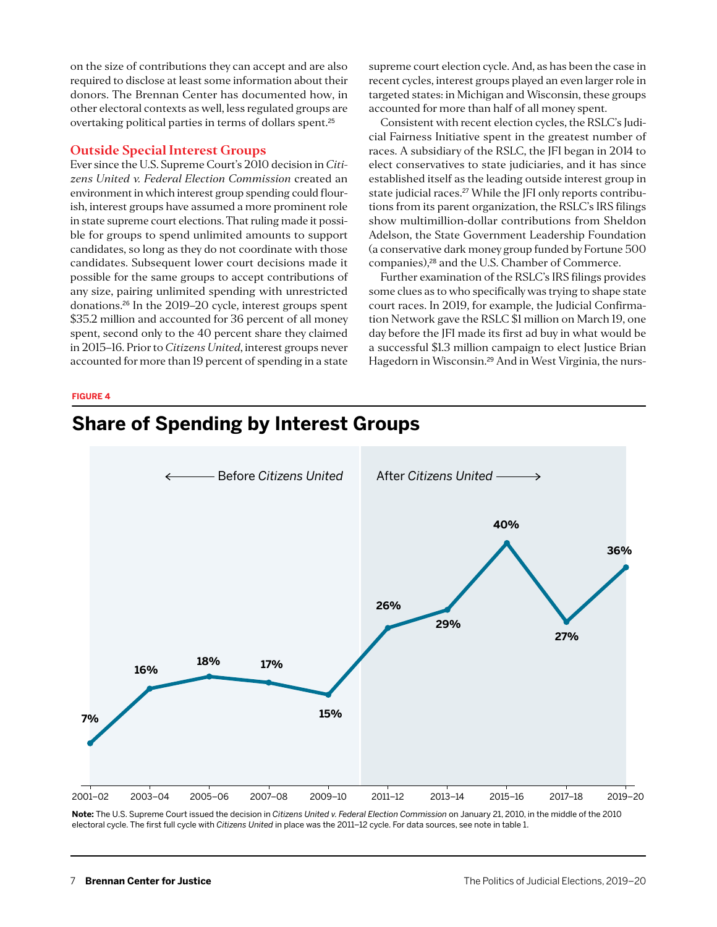on the size of contributions they can accept and are also required to disclose at least some information about their donors. The Brennan Center has documented how, in other electoral contexts as well, less regulated groups are overtaking political parties in terms of dollars spent.<sup>25</sup>

#### **Outside Special Interest Groups**

Ever since the U.S. Supreme Court's 2010 decision in *Citizens United v. Federal Election Commission* created an environment in which interest group spending could flourish, interest groups have assumed a more prominent role in state supreme court elections. That ruling made it possible for groups to spend unlimited amounts to support candidates, so long as they do not coordinate with those candidates. Subsequent lower court decisions made it possible for the same groups to accept contributions of any size, pairing unlimited spending with unrestricted donations.26 In the 2019–20 cycle, interest groups spent \$35.2 million and accounted for 36 percent of all money spent, second only to the 40 percent share they claimed in 2015–16. Prior to *Citizens United*, interest groups never accounted for more than 19 percent of spending in a state supreme court election cycle. And, as has been the case in recent cycles, interest groups played an even larger role in targeted states: in Michigan and Wisconsin, these groups accounted for more than half of all money spent.

Consistent with recent election cycles, the RSLC's Judicial Fairness Initiative spent in the greatest number of races. A subsidiary of the RSLC, the JFI began in 2014 to elect conservatives to state judiciaries, and it has since established itself as the leading outside interest group in state judicial races.<sup>27</sup> While the JFI only reports contributions from its parent organization, the RSLC's IRS filings show multimillion-dollar contributions from Sheldon Adelson, the State Government Leadership Foundation (a conservative dark money group funded by Fortune 500 companies),<sup>28</sup> and the U.S. Chamber of Commerce.

Further examination of the RSLC's IRS filings provides some clues as to who specifically was trying to shape state court races. In 2019, for example, the Judicial Confirmation Network gave the RSLC \$1 million on March 19, one day before the JFI made its first ad buy in what would be a successful \$1.3 million campaign to elect Justice Brian Hagedorn in Wisconsin.29 And in West Virginia, the nurs-

#### **FIGURE 4**

## 2001–02 2003–04 2005–06 2007–08 2009–10 2011–12 2013–14 2015–16 2017–18 2019–20 **7% 16% 18% 17% 15% 26% 29% 40% 27% 36%** Before *Citizens United* After *Citizens United*

**Share of Spending by Interest Groups**

**Note:** The U.S. Supreme Court issued the decision in *Citizens United v. Federal Election Commission* on January 21, 2010, in the middle of the 2010 electoral cycle. The first full cycle with *Citizens United* in place was the 2011–12 cycle. For data sources, see note in table 1.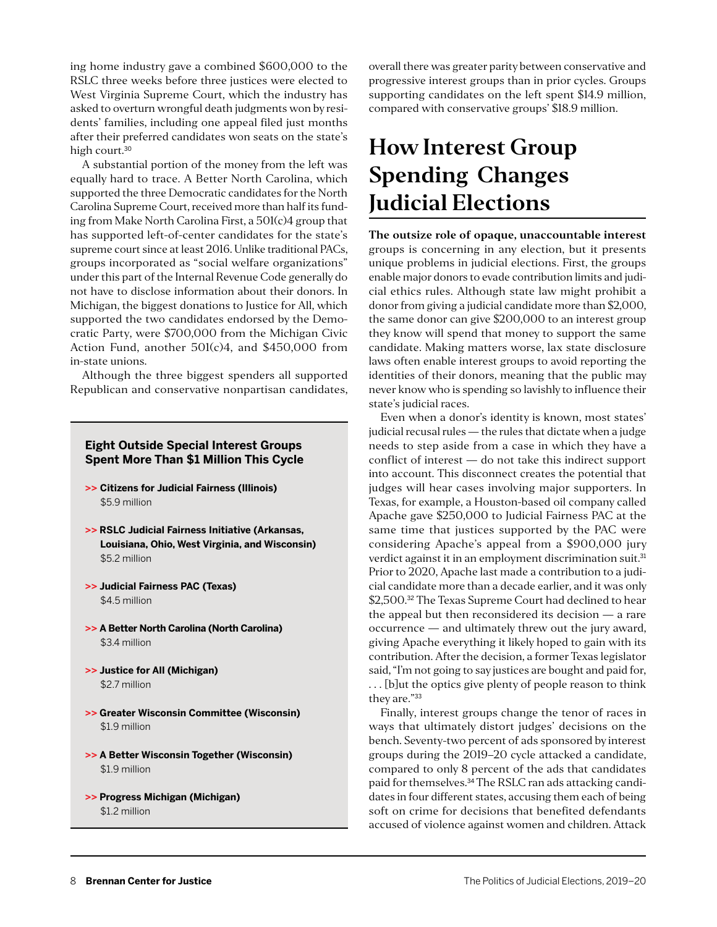ing home industry gave a combined \$600,000 to the RSLC three weeks before three justices were elected to West Virginia Supreme Court, which the industry has asked to overturn wrongful death judgments won by residents' families, including one appeal filed just months after their preferred candidates won seats on the state's high court.<sup>30</sup>

A substantial portion of the money from the left was equally hard to trace. A Better North Carolina, which supported the three Democratic candidates for the North Carolina Supreme Court, received more than half its funding from Make North Carolina First, a 501(c)4 group that has supported left-of-center candidates for the state's supreme court since at least 2016. Unlike traditional PACs, groups incorporated as "social welfare organizations" under this part of the Internal Revenue Code generally do not have to disclose information about their donors. In Michigan, the biggest donations to Justice for All, which supported the two candidates endorsed by the Democratic Party, were \$700,000 from the Michigan Civic Action Fund, another  $501(c)4$ , and \$450,000 from in-state unions.

Although the three biggest spenders all supported Republican and conservative nonpartisan candidates,

#### **Eight Outside Special Interest Groups Spent More Than \$1 Million This Cycle**

- **>> Citizens for Judicial Fairness (Illinois)** \$5.9 million
- **>> RSLC Judicial Fairness Initiative (Arkansas, Louisiana, Ohio, West Virginia, and Wisconsin)**  \$5.2 million
- **>> Judicial Fairness PAC (Texas)**  \$4.5 million
- **>> A Better North Carolina (North Carolina)**  \$3.4 million
- **>> Justice for All (Michigan)** \$2.7 million
- **>> Greater Wisconsin Committee (Wisconsin)**  \$1.9 million
- **>> A Better Wisconsin Together (Wisconsin)**  \$1.9 million
- **>> Progress Michigan (Michigan)** \$1.2 million

overall there was greater parity between conservative and progressive interest groups than in prior cycles. Groups supporting candidates on the left spent \$14.9 million, compared with conservative groups' \$18.9 million.

## **How Interest Group Spending Changes Judicial Elections**

**The outsize role of opaque, unaccountable interest** groups is concerning in any election, but it presents unique problems in judicial elections. First, the groups enable major donors to evade contribution limits and judicial ethics rules. Although state law might prohibit a donor from giving a judicial candidate more than \$2,000, the same donor can give \$200,000 to an interest group they know will spend that money to support the same candidate. Making matters worse, lax state disclosure laws often enable interest groups to avoid reporting the identities of their donors, meaning that the public may never know who is spending so lavishly to influence their state's judicial races.

Even when a donor's identity is known, most states' judicial recusal rules — the rules that dictate when a judge needs to step aside from a case in which they have a conflict of interest — do not take this indirect support into account. This disconnect creates the potential that judges will hear cases involving major supporters. In Texas, for example, a Houston-based oil company called Apache gave \$250,000 to Judicial Fairness PAC at the same time that justices supported by the PAC were considering Apache's appeal from a \$900,000 jury verdict against it in an employment discrimination suit.<sup>31</sup> Prior to 2020, Apache last made a contribution to a judicial candidate more than a decade earlier, and it was only \$2,500.<sup>32</sup> The Texas Supreme Court had declined to hear the appeal but then reconsidered its decision — a rare occurrence — and ultimately threw out the jury award, giving Apache everything it likely hoped to gain with its contribution. After the decision, a former Texas legislator said, "I'm not going to say justices are bought and paid for, . . . [b]ut the optics give plenty of people reason to think they are."<sup>33</sup>

Finally, interest groups change the tenor of races in ways that ultimately distort judges' decisions on the bench. Seventy-two percent of ads sponsored by interest groups during the 2019–20 cycle attacked a candidate, compared to only 8 percent of the ads that candidates paid for themselves.<sup>34</sup> The RSLC ran ads attacking candidates in four different states, accusing them each of being soft on crime for decisions that benefited defendants accused of violence against women and children. Attack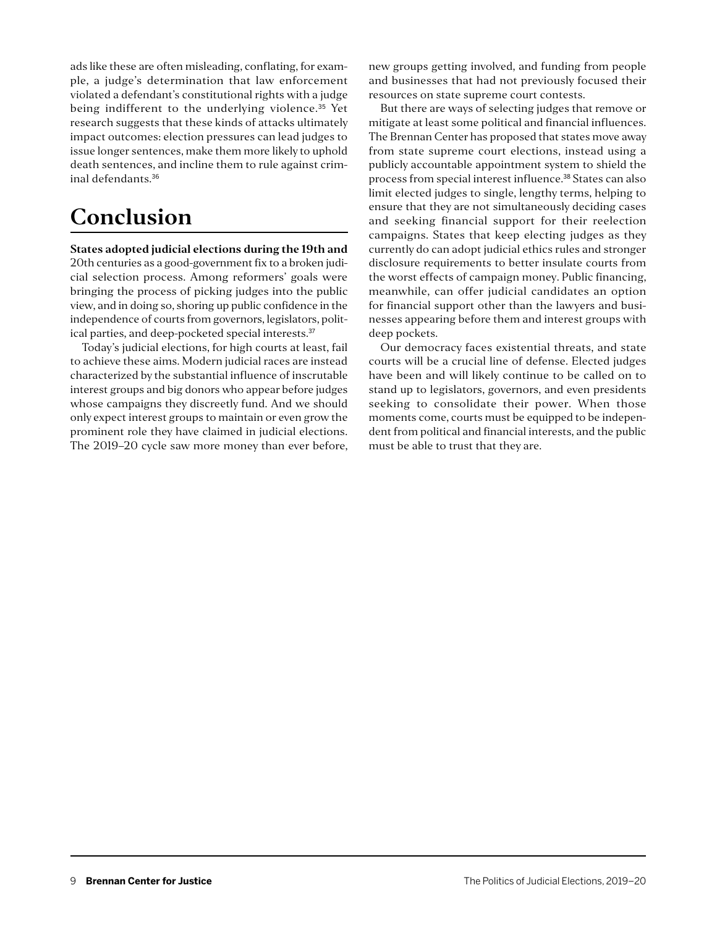ads like these are often misleading, conflating, for example, a judge's determination that law enforcement violated a defendant's constitutional rights with a judge being indifferent to the underlying violence.<sup>35</sup> Yet research suggests that these kinds of attacks ultimately impact outcomes: election pressures can lead judges to issue longer sentences, make them more likely to uphold death sentences, and incline them to rule against criminal defendants.<sup>36</sup>

## **Conclusion**

#### **States adopted judicial elections during the 19th and**

20th centuries as a good-government fix to a broken judicial selection process. Among reformers' goals were bringing the process of picking judges into the public view, and in doing so, shoring up public confidence in the independence of courts from governors, legislators, political parties, and deep-pocketed special interests.<sup>37</sup>

Today's judicial elections, for high courts at least, fail to achieve these aims. Modern judicial races are instead characterized by the substantial influence of inscrutable interest groups and big donors who appear before judges whose campaigns they discreetly fund. And we should only expect interest groups to maintain or even grow the prominent role they have claimed in judicial elections. The 2019–20 cycle saw more money than ever before, new groups getting involved, and funding from people and businesses that had not previously focused their resources on state supreme court contests.

But there are ways of selecting judges that remove or mitigate at least some political and financial influences. The Brennan Center has proposed that states move away from state supreme court elections, instead using a publicly accountable appointment system to shield the process from special interest influence.38 States can also limit elected judges to single, lengthy terms, helping to ensure that they are not simultaneously deciding cases and seeking financial support for their reelection campaigns. States that keep electing judges as they currently do can adopt judicial ethics rules and stronger disclosure requirements to better insulate courts from the worst effects of campaign money. Public financing, meanwhile, can offer judicial candidates an option for financial support other than the lawyers and businesses appearing before them and interest groups with deep pockets.

Our democracy faces existential threats, and state courts will be a crucial line of defense. Elected judges have been and will likely continue to be called on to stand up to legislators, governors, and even presidents seeking to consolidate their power. When those moments come, courts must be equipped to be independent from political and financial interests, and the public must be able to trust that they are.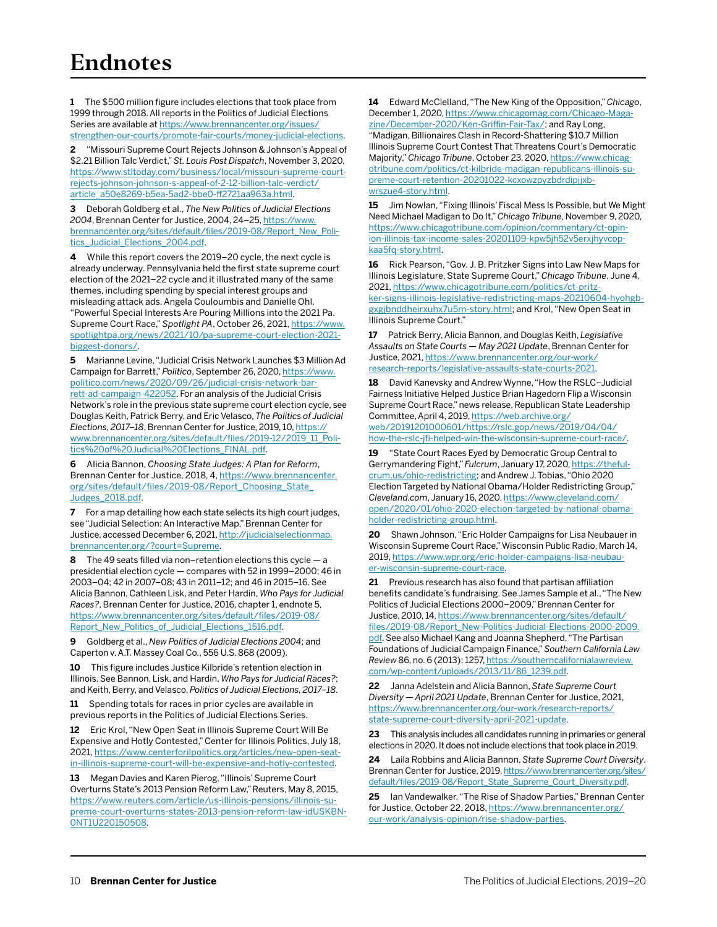**1** The \$500 million figure includes elections that took place from 1999 through 2018. All reports in the Politics of Judicial Elections Series are available at [https://www.brennancenter.org/issues/](https://www.brennancenter.org/issues/strengthen-our-courts/promote-fair-courts/money-judicial-elections) [strengthen-our-courts/promote-fair-courts/money-judicial-elections](https://www.brennancenter.org/issues/strengthen-our-courts/promote-fair-courts/money-judicial-elections).

**2** "Missouri Supreme Court Rejects Johnson & Johnson's Appeal of \$2.21 Billion Talc Verdict," *St. Louis Post Dispatch*, November 3, 2020, [https://www.stltoday.com/business/local/missouri-supreme-court](https://www.stltoday.com/business/local/missouri-supreme-court-rejects-johnson-johnson-s-appeal-of-2-12-billion-talc-verdict/article_a50e8269-b5ea-5ad2-bbe0-ff2721aa963a.html)[rejects-johnson-johnson-s-appeal-of-2-12-billion-talc-verdict/](https://www.stltoday.com/business/local/missouri-supreme-court-rejects-johnson-johnson-s-appeal-of-2-12-billion-talc-verdict/article_a50e8269-b5ea-5ad2-bbe0-ff2721aa963a.html) [article\\_a50e8269-b5ea-5ad2-bbe0-ff2721aa963a.html.](https://www.stltoday.com/business/local/missouri-supreme-court-rejects-johnson-johnson-s-appeal-of-2-12-billion-talc-verdict/article_a50e8269-b5ea-5ad2-bbe0-ff2721aa963a.html)

**3** Deborah Goldberg et al., *The New Politics of Judicial Elections 2004*, Brennan Center for Justice, 2004, 24–25, [https://www.](https://www.brennancenter.org/sites/default/files/2019-08/Report_New_Politics_Judicial_Elections_2004.pdf) [brennancenter.org/sites/default/files/2019-08/Report\\_New\\_Poli](https://www.brennancenter.org/sites/default/files/2019-08/Report_New_Politics_Judicial_Elections_2004.pdf)[tics\\_Judicial\\_Elections\\_2004.pdf](https://www.brennancenter.org/sites/default/files/2019-08/Report_New_Politics_Judicial_Elections_2004.pdf).

**4** While this report covers the 2019–20 cycle, the next cycle is already underway. Pennsylvania held the first state supreme court election of the 2021–22 cycle and it illustrated many of the same themes, including spending by special interest groups and misleading attack ads. Angela Couloumbis and Danielle Ohl, "Powerful Special Interests Are Pouring Millions into the 2021 Pa. Supreme Court Race," *Spotlight PA*, October 26, 2021, [https://www.](https://www.spotlightpa.org/news/2021/10/pa-supreme-court-election-2021-biggest-donors/) [spotlightpa.org/news/2021/10/pa-supreme-court-election-2021](https://www.spotlightpa.org/news/2021/10/pa-supreme-court-election-2021-biggest-donors/) [biggest-donors/](https://www.spotlightpa.org/news/2021/10/pa-supreme-court-election-2021-biggest-donors/).

**5** Marianne Levine, "Judicial Crisis Network Launches \$3 Million Ad Campaign for Barrett," *Politico*, September 26, 2020, [https://www.](https://www.politico.com/news/2020/09/26/judicial-crisis-network-barrett-ad-campaign-422052) [politico.com/news/2020/09/26/judicial-crisis-network-bar](https://www.politico.com/news/2020/09/26/judicial-crisis-network-barrett-ad-campaign-422052)[rett-ad-campaign-422052](https://www.politico.com/news/2020/09/26/judicial-crisis-network-barrett-ad-campaign-422052). For an analysis of the Judicial Crisis Network's role in the previous state supreme court election cycle, see Douglas Keith, Patrick Berry, and Eric Velasco, *The Politics of Judicial Elections, 2017–18*, Brennan Center for Justice, 2019, 10, [https://](https://www.brennancenter.org/sites/default/files/2019-12/2019_11_Politics%20of%20Judicial%20Elections_FINAL.pdf) [www.brennancenter.org/sites/default/files/2019-12/2019\\_11\\_Poli](https://www.brennancenter.org/sites/default/files/2019-12/2019_11_Politics%20of%20Judicial%20Elections_FINAL.pdf)[tics%20of%20Judicial%20Elections\\_FINAL.pdf.](https://www.brennancenter.org/sites/default/files/2019-12/2019_11_Politics%20of%20Judicial%20Elections_FINAL.pdf)

**6** Alicia Bannon, *Choosing State Judges: A Plan for Reform*, Brennan Center for Justice, 2018, 4, [https://www.brennancenter.](https://www.brennancenter.org/sites/default/files/2019-08/Report_Choosing_State_Judges_2018.pdf) [org/sites/default/files/2019-08/Report\\_Choosing\\_State\\_](https://www.brennancenter.org/sites/default/files/2019-08/Report_Choosing_State_Judges_2018.pdf) [Judges\\_2018.pdf.](https://www.brennancenter.org/sites/default/files/2019-08/Report_Choosing_State_Judges_2018.pdf)

**7** For a map detailing how each state selects its high court judges, see "Judicial Selection: An Interactive Map," Brennan Center for Justice, accessed December 6, 2021, [http://judicialselectionmap.](http://judicialselectionmap.brennancenter.org/?court=Supreme) [brennancenter.org/?court=Supreme](http://judicialselectionmap.brennancenter.org/?court=Supreme).

**8** The 49 seats filled via non–retention elections this cycle — a presidential election cycle — compares with 52 in 1999–2000; 46 in 2003–04; 42 in 2007–08; 43 in 2011–12; and 46 in 2015–16. See Alicia Bannon, Cathleen Lisk, and Peter Hardin, *Who Pays for Judicial Races?*, Brennan Center for Justice, 2016, chapter 1, endnote 5, [https://www.brennancenter.org/sites/default/files/2019-08/](https://www.brennancenter.org/sites/default/files/2019-08/Report_New_Politics_of_Judicial_Elections_1516.pdf) [Report\\_New\\_Politics\\_of\\_Judicial\\_Elections\\_1516.pdf.](https://www.brennancenter.org/sites/default/files/2019-08/Report_New_Politics_of_Judicial_Elections_1516.pdf)

**9** Goldberg et al., *New Politics of Judicial Elections 2004*; and Caperton v. A.T. Massey Coal Co., 556 U.S. 868 (2009).

10 This figure includes Justice Kilbride's retention election in Illinois. See Bannon, Lisk, and Hardin, *Who Pays for Judicial Races?*; and Keith, Berry, and Velasco, *Politics of Judicial Elections, 2017–18*.

**11** Spending totals for races in prior cycles are available in previous reports in the Politics of Judicial Elections Series.

**12** Eric Krol, "New Open Seat in Illinois Supreme Court Will Be Expensive and Hotly Contested," Center for Illinois Politics, July 18, 2021, [https://www.centerforilpolitics.org/articles/new-open-seat](https://www.centerforilpolitics.org/articles/new-open-seat-in-illinois-supreme-court-will-be-expensive-and-hotly-contested)[in-illinois-supreme-court-will-be-expensive-and-hotly-contested.](https://www.centerforilpolitics.org/articles/new-open-seat-in-illinois-supreme-court-will-be-expensive-and-hotly-contested)

**13** Megan Davies and Karen Pierog, "Illinois' Supreme Court Overturns State's 2013 Pension Reform Law," Reuters, May 8, 2015, [https://www.reuters.com/article/us-illinois-pensions/illinois-su](https://www.reuters.com/article/us-illinois-pensions/illinois-supreme-court-overturns-states-2013-pension-reform-law-idUSKBN0NT1U220150508)[preme-court-overturns-states-2013-pension-reform-law-idUSKBN-](https://www.reuters.com/article/us-illinois-pensions/illinois-supreme-court-overturns-states-2013-pension-reform-law-idUSKBN0NT1U220150508)[0NT1U220150508](https://www.reuters.com/article/us-illinois-pensions/illinois-supreme-court-overturns-states-2013-pension-reform-law-idUSKBN0NT1U220150508).

**14** Edward McClelland, "The New King of the Opposition," *Chicago*, December 1, 2020, [https://www.chicagomag.com/Chicago-Maga](https://www.chicagomag.com/Chicago-Magazine/December-2020/Ken-Griffin-Fair-Tax/)[zine/December-2020/Ken-Griffin-Fair-Tax/](https://www.chicagomag.com/Chicago-Magazine/December-2020/Ken-Griffin-Fair-Tax/); and Ray Long, "Madigan, Billionaires Clash in Record-Shattering \$10.7 Million Illinois Supreme Court Contest That Threatens Court's Democratic Majority," *Chicago Tribune*, October 23, 2020, [https://www.chicag](https://www.chicagotribune.com/politics/ct-kilbride-madigan-republicans-illinois-supreme-court-retention-20201022-kcxowzpyzbdrdipjjxbwrszue4-story.html)[otribune.com/politics/ct-kilbride-madigan-republicans-illinois-su](https://www.chicagotribune.com/politics/ct-kilbride-madigan-republicans-illinois-supreme-court-retention-20201022-kcxowzpyzbdrdipjjxbwrszue4-story.html)[preme-court-retention-20201022-kcxowzpyzbdrdipjjxb](https://www.chicagotribune.com/politics/ct-kilbride-madigan-republicans-illinois-supreme-court-retention-20201022-kcxowzpyzbdrdipjjxbwrszue4-story.html)[wrszue4-story.html](https://www.chicagotribune.com/politics/ct-kilbride-madigan-republicans-illinois-supreme-court-retention-20201022-kcxowzpyzbdrdipjjxbwrszue4-story.html).

**15** Jim Nowlan, "Fixing Illinois' Fiscal Mess Is Possible, but We Might Need Michael Madigan to Do It," *Chicago Tribune*, November 9, 2020, [https://www.chicagotribune.com/opinion/commentary/ct-opin](https://www.chicagotribune.com/opinion/commentary/ct-opinion-illinois-tax-income-sales-20201109-kpw5jh52v5erxjhyvcopkaa5fq-story.html)[ion-illinois-tax-income-sales-20201109-kpw5jh52v5erxjhyvcop](https://www.chicagotribune.com/opinion/commentary/ct-opinion-illinois-tax-income-sales-20201109-kpw5jh52v5erxjhyvcopkaa5fq-story.html)[kaa5fq-story.html.](https://www.chicagotribune.com/opinion/commentary/ct-opinion-illinois-tax-income-sales-20201109-kpw5jh52v5erxjhyvcopkaa5fq-story.html)

**16** Rick Pearson, "Gov. J. B. Pritzker Signs into Law New Maps for Illinois Legislature, State Supreme Court," *Chicago Tribune*, June 4, 2021, [https://www.chicagotribune.com/politics/ct-pritz](https://www.chicagotribune.com/politics/ct-pritzker-signs-illinois-legislative-redistricting-maps-20210604-hyohgbgxgjbnddheirxuhx7u5m-story.html)[ker-signs-illinois-legislative-redistricting-maps-20210604-hyohgb](https://www.chicagotribune.com/politics/ct-pritzker-signs-illinois-legislative-redistricting-maps-20210604-hyohgbgxgjbnddheirxuhx7u5m-story.html)[gxgjbnddheirxuhx7u5m-story.html;](https://www.chicagotribune.com/politics/ct-pritzker-signs-illinois-legislative-redistricting-maps-20210604-hyohgbgxgjbnddheirxuhx7u5m-story.html) and Krol, "New Open Seat in Illinois Supreme Court."

**17** Patrick Berry, Alicia Bannon, and Douglas Keith, *Legislative Assaults on State Courts — May 2021 Update*, Brennan Center for Justice, 2021, [https://www.brennancenter.org/our-work/](https://www.brennancenter.org/our-work/research-reports/legislative-assaults-state-courts-2021) [research-reports/legislative-assaults-state-courts-2021](https://www.brennancenter.org/our-work/research-reports/legislative-assaults-state-courts-2021).

**18** David Kanevsky and Andrew Wynne, "How the RSLC–Judicial Fairness Initiative Helped Justice Brian Hagedorn Flip a Wisconsin Supreme Court Race," news release, Republican State Leadership Committee, April 4, 2019, [https://web.archive.org/](https://web.archive.org/web/20191201000601/https://rslc.gop/news/2019/04/04/how-the-rslc-jfi-helped-win-the-wisconsin-supreme-court-race/) [web/20191201000601/https://rslc.gop/news/2019/04/04/](https://web.archive.org/web/20191201000601/https://rslc.gop/news/2019/04/04/how-the-rslc-jfi-helped-win-the-wisconsin-supreme-court-race/) [how-the-rslc-jfi-helped-win-the-wisconsin-supreme-court-race/](https://web.archive.org/web/20191201000601/https://rslc.gop/news/2019/04/04/how-the-rslc-jfi-helped-win-the-wisconsin-supreme-court-race/).

**19** "[State Court Races Eyed by Democratic Group Central to](https://thefulcrum.us/ohio-redistricting)  [Gerrymandering Fight,](https://thefulcrum.us/ohio-redistricting)"*Fulcrum*, January 17, 2020, [https://theful](https://thefulcrum.us/ohio-redistricting)[crum.us/ohio-redistricting](https://thefulcrum.us/ohio-redistricting); and Andrew J. Tobias, "Ohio 2020 Election Targeted by National Obama/Holder Redistricting Group," *Cleveland.com*, January 16, 2020, [https://www.cleveland.com/](https://www.cleveland.com/open/2020/01/ohio-2020-election-targeted-by-national-obama-holder-redistricting-group.html) [open/2020/01/ohio-2020-election-targeted-by-national-obama](https://www.cleveland.com/open/2020/01/ohio-2020-election-targeted-by-national-obama-holder-redistricting-group.html)[holder-redistricting-group.html.](https://www.cleveland.com/open/2020/01/ohio-2020-election-targeted-by-national-obama-holder-redistricting-group.html)

**20** Shawn Johnson, "Eric Holder Campaigns for Lisa Neubauer in Wisconsin Supreme Court Race," Wisconsin Public Radio, March 14, 2019, [https://www.wpr.org/eric-holder-campaigns-lisa-neubau](https://www.wpr.org/eric-holder-campaigns-lisa-neubauer-wisconsin-supreme-court-race)[er-wisconsin-supreme-court-race.](https://www.wpr.org/eric-holder-campaigns-lisa-neubauer-wisconsin-supreme-court-race)

21 Previous research has also found that partisan affiliation benefits candidate's fundraising. See James Sample et al., "The New Politics of Judicial Elections 2000–2009," Brennan Center for Justice, 2010, 14, [https://www.brennancenter.org/sites/default/](https://www.brennancenter.org/sites/default/files/2019-08/Report_New-Politics-Judicial-Elections-2000-2009.pdf) [files/2019-08/Report\\_New-Politics-Judicial-Elections-2000-2009.](https://www.brennancenter.org/sites/default/files/2019-08/Report_New-Politics-Judicial-Elections-2000-2009.pdf) [pdf](https://www.brennancenter.org/sites/default/files/2019-08/Report_New-Politics-Judicial-Elections-2000-2009.pdf). See also Michael Kang and Joanna Shepherd, "The Partisan Foundations of Judicial Campaign Finance," *Southern California Law Review* 86, no. 6 (2013): 1257, [https://southerncalifornialawreview.](https://southerncalifornialawreview.com/wp-content/uploads/2013/11/86_1239.pdf) [com/wp-content/uploads/2013/11/86\\_1239.pdf.](https://southerncalifornialawreview.com/wp-content/uploads/2013/11/86_1239.pdf)

**22** Janna Adelstein and Alicia Bannon, *State Supreme Court Diversity — April 2021 Update*, Brennan Center for Justice, 2021, [https://www.brennancenter.org/our-work/research-reports/](https://www.brennancenter.org/our-work/research-reports/state-supreme-court-diversity-april-2021-update) [state-supreme-court-diversity-april-2021-update.](https://www.brennancenter.org/our-work/research-reports/state-supreme-court-diversity-april-2021-update)

**23** This analysis includes all candidates running in primaries or general elections in 2020. It does not include elections that took place in 2019.

**24** Laila Robbins and Alicia Bannon, *State Supreme Court Diversity*, Brennan Center for Justice, 2019, [https://www.brennancenter.org/sites/](https://www.brennancenter.org/sites/default/files/2019-08/Report_State_Supreme_Court_Diversity.pdf) [default/files/2019-08/Report\\_State\\_Supreme\\_Court\\_Diversity.pdf](https://www.brennancenter.org/sites/default/files/2019-08/Report_State_Supreme_Court_Diversity.pdf).

**25** Ian Vandewalker, "The Rise of Shadow Parties," Brennan Center for Justice, October 22, 2018, [https://www.brennancenter.org/](https://www.brennancenter.org/our-work/analysis-opinion/rise-shadow-parties) [our-work/analysis-opinion/rise-shadow-parties.](https://www.brennancenter.org/our-work/analysis-opinion/rise-shadow-parties)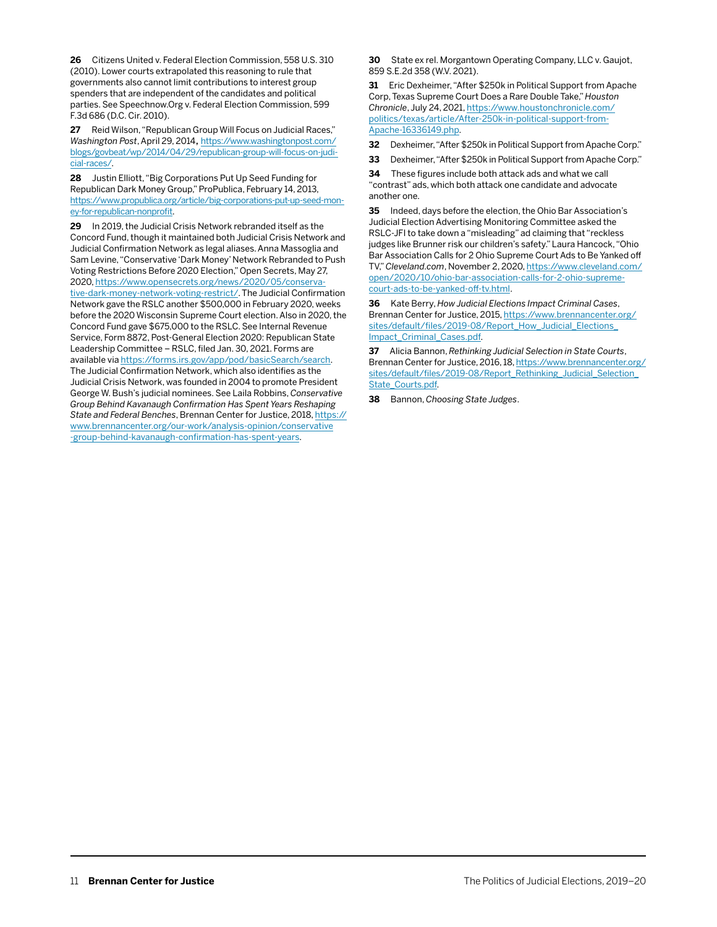**26** Citizens United v. Federal Election Commission, 558 U.S. 310 (2010). Lower courts extrapolated this reasoning to rule that governments also cannot limit contributions to interest group spenders that are independent of the candidates and political parties. See Speechnow.Org v. Federal Election Commission, 599 F.3d 686 (D.C. Cir. 2010).

**27**  Reid Wilson, "Republican Group Will Focus on Judicial Races," *Washington Post*, April 29, 2014, [https://www.washingtonpost.com/](https://www.washingtonpost.com/blogs/govbeat/wp/2014/04/29/republican-group-will-focus-on-judicial-races/) [blogs/govbeat/wp/2014/04/29/republican-group-will-focus-on-judi](https://www.washingtonpost.com/blogs/govbeat/wp/2014/04/29/republican-group-will-focus-on-judicial-races/)[cial-races/](https://www.washingtonpost.com/blogs/govbeat/wp/2014/04/29/republican-group-will-focus-on-judicial-races/).

**28** Justin Elliott, "Big Corporations Put Up Seed Funding for Republican Dark Money Group," ProPublica, February 14, 2013, [https://www.propublica.org/article/big-corporations-put-up-seed-mon](https://www.propublica.org/article/big-corporations-put-up-seed-money-for-republican-nonprofit)[ey-for-republican-nonprofit](https://www.propublica.org/article/big-corporations-put-up-seed-money-for-republican-nonprofit).

**29** In 2019, the Judicial Crisis Network rebranded itself as the Concord Fund, though it maintained both Judicial Crisis Network and Judicial Confirmation Network as legal aliases. Anna Massoglia and Sam Levine, "Conservative 'Dark Money' Network Rebranded to Push Voting Restrictions Before 2020 Election," Open Secrets, May 27, 2020, [https://www.opensecrets.org/news/2020/05/conserva](https://www.opensecrets.org/news/2020/05/conservative-dark-money-network-voting-restrict/)[tive-dark-money-network-voting-restrict/](https://www.opensecrets.org/news/2020/05/conservative-dark-money-network-voting-restrict/). The Judicial Confirmation Network gave the RSLC another \$500,000 in February 2020, weeks before the 2020 Wisconsin Supreme Court election. Also in 2020, the Concord Fund gave \$675,000 to the RSLC. See Internal Revenue Service, Form 8872, Post-General Election 2020: Republican State Leadership Committee – RSLC, filed Jan. 30, 2021. Forms are available via [https://forms.irs.gov/app/pod/basicSearch/search](https://forms.irs.gov/app/pod/basicSearch/search?execution=e3s1&format=). The Judicial Confirmation Network, which also identifies as the Judicial Crisis Network, was founded in 2004 to promote President George W. Bush's judicial nominees. See Laila Robbins, *Conservative Group Behind Kavanaugh Confirmation Has Spent Years Reshaping State and Federal Benches*, Brennan Center for Justice, 2018, [https://](https://www.brennancenter.org/our-work/analysis-opinion/conservative-group-behind-kavanaugh-confirmation-has-spent-years) [www.brennancenter.org/our-work/analysis-opinion/conservative](https://www.brennancenter.org/our-work/analysis-opinion/conservative-group-behind-kavanaugh-confirmation-has-spent-years) [-group-behind-kavanaugh-confirmation-has-spent-years.](https://www.brennancenter.org/our-work/analysis-opinion/conservative-group-behind-kavanaugh-confirmation-has-spent-years)

**30** State ex rel. Morgantown Operating Company, LLC v. Gaujot, 859 S.E.2d 358 (W.V. 2021).

**31** Eric Dexheimer, "After \$250k in Political Support from Apache Corp, Texas Supreme Court Does a Rare Double Take," *Houston Chronicle*, July 24, 2021, [https://www.houstonchronicle.com/](https://www.houstonchronicle.com/politics/texas/article/After-250k-in-political-support-from-Apache-16336149.php) [politics/texas/article/After-250k-in-political-support-from-](https://www.houstonchronicle.com/politics/texas/article/After-250k-in-political-support-from-Apache-16336149.php)[Apache-16336149.php](https://www.houstonchronicle.com/politics/texas/article/After-250k-in-political-support-from-Apache-16336149.php).

**32** Dexheimer, "After \$250k in Political Support from Apache Corp."

**33** Dexheimer, "After \$250k in Political Support from Apache Corp."

**34** These figures include both attack ads and what we call "contrast" ads, which both attack one candidate and advocate another one.

**35** Indeed, days before the election, the Ohio Bar Association's Judicial Election Advertising Monitoring Committee asked the RSLC-JFI to take down a "misleading" ad claiming that "reckless judges like Brunner risk our children's safety." Laura Hancock, "Ohio Bar Association Calls for 2 Ohio Supreme Court Ads to Be Yanked off TV," *Cleveland.com*, November 2, 2020, [https://www.cleveland.com/](https://www.cleveland.com/open/2020/10/ohio-bar-association-calls-for-2-ohio-supreme-court-ads-to-be-yanked-off-tv.html) [open/2020/10/ohio-bar-association-calls-for-2-ohio-supreme](https://www.cleveland.com/open/2020/10/ohio-bar-association-calls-for-2-ohio-supreme-court-ads-to-be-yanked-off-tv.html)[court-ads-to-be-yanked-off-tv.html.](https://www.cleveland.com/open/2020/10/ohio-bar-association-calls-for-2-ohio-supreme-court-ads-to-be-yanked-off-tv.html)

**36** Kate Berry, *How Judicial Elections Impact Criminal Cases*, Brennan Center for Justice, 2015, [https://www.brennancenter.org/](https://www.brennancenter.org/sites/default/files/2019-08/Report_How_Judicial_Elections_Impact_Criminal_Cases.pdf) [sites/default/files/2019-08/Report\\_How\\_Judicial\\_Elections\\_](https://www.brennancenter.org/sites/default/files/2019-08/Report_How_Judicial_Elections_Impact_Criminal_Cases.pdf) [Impact\\_Criminal\\_Cases.pdf.](https://www.brennancenter.org/sites/default/files/2019-08/Report_How_Judicial_Elections_Impact_Criminal_Cases.pdf)

**37** Alicia Bannon, *Rethinking Judicial Selection in State Courts*, Brennan Center for Justice, 2016, 18, [https://www.brennancenter.org/](https://www.brennancenter.org/sites/default/files/2019-08/Report_Rethinking_Judicial_Selection_State_Courts.pdf) [sites/default/files/2019-08/Report\\_Rethinking\\_Judicial\\_Selection\\_](https://www.brennancenter.org/sites/default/files/2019-08/Report_Rethinking_Judicial_Selection_State_Courts.pdf) [State\\_Courts.pdf](https://www.brennancenter.org/sites/default/files/2019-08/Report_Rethinking_Judicial_Selection_State_Courts.pdf).

**38** Bannon, *Choosing State Judges*.